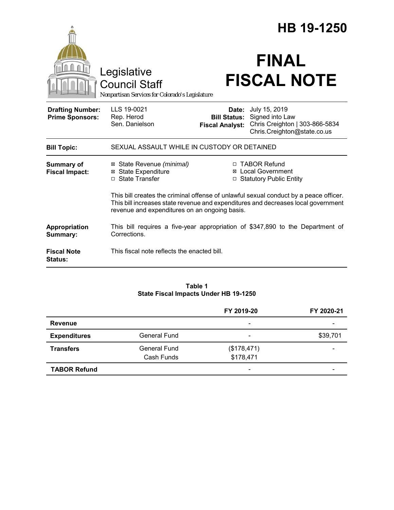|                                                   |                                                                                                                                                                                                                             | HB 19-1250                                                        |                                                                                                   |  |  |  |
|---------------------------------------------------|-----------------------------------------------------------------------------------------------------------------------------------------------------------------------------------------------------------------------------|-------------------------------------------------------------------|---------------------------------------------------------------------------------------------------|--|--|--|
|                                                   | Legislative<br><b>Council Staff</b><br>Nonpartisan Services for Colorado's Legislature                                                                                                                                      |                                                                   | <b>FINAL</b><br><b>FISCAL NOTE</b>                                                                |  |  |  |
| <b>Drafting Number:</b><br><b>Prime Sponsors:</b> | LLS 19-0021<br>Rep. Herod<br>Sen. Danielson                                                                                                                                                                                 | Date:<br><b>Bill Status:</b><br><b>Fiscal Analyst:</b>            | July 15, 2019<br>Signed into Law<br>Chris Creighton   303-866-5834<br>Chris.Creighton@state.co.us |  |  |  |
| <b>Bill Topic:</b>                                | SEXUAL ASSAULT WHILE IN CUSTODY OR DETAINED                                                                                                                                                                                 |                                                                   |                                                                                                   |  |  |  |
| <b>Summary of</b><br><b>Fiscal Impact:</b>        | ⊠ State Revenue (minimal)<br><b>⊠</b> State Expenditure<br>□ State Transfer                                                                                                                                                 | □ TABOR Refund<br>⊠ Local Government<br>□ Statutory Public Entity |                                                                                                   |  |  |  |
|                                                   | This bill creates the criminal offense of unlawful sexual conduct by a peace officer.<br>This bill increases state revenue and expenditures and decreases local government<br>revenue and expenditures on an ongoing basis. |                                                                   |                                                                                                   |  |  |  |
| Appropriation<br>Summary:                         | This bill requires a five-year appropriation of \$347,890 to the Department of<br>Corrections.                                                                                                                              |                                                                   |                                                                                                   |  |  |  |
| <b>Fiscal Note</b><br>Status:                     | This fiscal note reflects the enacted bill.                                                                                                                                                                                 |                                                                   |                                                                                                   |  |  |  |

#### **Table 1 State Fiscal Impacts Under HB 19-1250**

|                     |                     | FY 2019-20               | FY 2020-21 |
|---------------------|---------------------|--------------------------|------------|
| <b>Revenue</b>      |                     | $\overline{\phantom{a}}$ |            |
| <b>Expenditures</b> | <b>General Fund</b> | $\overline{\phantom{a}}$ | \$39,701   |
| <b>Transfers</b>    | General Fund        | (\$178,471)              |            |
|                     | Cash Funds          | \$178,471                |            |
| <b>TABOR Refund</b> |                     | $\overline{\phantom{a}}$ |            |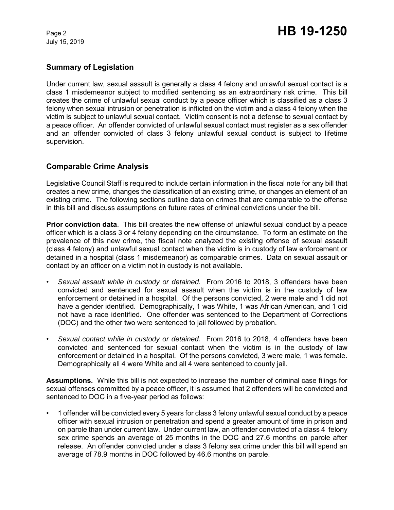## **Summary of Legislation**

Under current law, sexual assault is generally a class 4 felony and unlawful sexual contact is a class 1 misdemeanor subject to modified sentencing as an extraordinary risk crime. This bill creates the crime of unlawful sexual conduct by a peace officer which is classified as a class 3 felony when sexual intrusion or penetration is inflicted on the victim and a class 4 felony when the victim is subject to unlawful sexual contact. Victim consent is not a defense to sexual contact by a peace officer. An offender convicted of unlawful sexual contact must register as a sex offender and an offender convicted of class 3 felony unlawful sexual conduct is subject to lifetime supervision.

### **Comparable Crime Analysis**

Legislative Council Staff is required to include certain information in the fiscal note for any bill that creates a new crime, changes the classification of an existing crime, or changes an element of an existing crime. The following sections outline data on crimes that are comparable to the offense in this bill and discuss assumptions on future rates of criminal convictions under the bill.

**Prior conviction data**. This bill creates the new offense of unlawful sexual conduct by a peace officer which is a class 3 or 4 felony depending on the circumstance. To form an estimate on the prevalence of this new crime, the fiscal note analyzed the existing offense of sexual assault (class 4 felony) and unlawful sexual contact when the victim is in custody of law enforcement or detained in a hospital (class 1 misdemeanor) as comparable crimes. Data on sexual assault or contact by an officer on a victim not in custody is not available.

- *Sexual assault while in custody or detained.* From 2016 to 2018, 3 offenders have been convicted and sentenced for sexual assault when the victim is in the custody of law enforcement or detained in a hospital. Of the persons convicted, 2 were male and 1 did not have a gender identified. Demographically, 1 was White, 1 was African American, and 1 did not have a race identified. One offender was sentenced to the Department of Corrections (DOC) and the other two were sentenced to jail followed by probation.
- *Sexual contact while in custody or detained.* From 2016 to 2018, 4 offenders have been convicted and sentenced for sexual contact when the victim is in the custody of law enforcement or detained in a hospital. Of the persons convicted, 3 were male, 1 was female. Demographically all 4 were White and all 4 were sentenced to county jail.

**Assumptions.** While this bill is not expected to increase the number of criminal case filings for sexual offenses committed by a peace officer, it is assumed that 2 offenders will be convicted and sentenced to DOC in a five-year period as follows:

• 1 offender will be convicted every 5 years for class 3 felony unlawful sexual conduct by a peace officer with sexual intrusion or penetration and spend a greater amount of time in prison and on parole than under current law. Under current law, an offender convicted of a class 4 felony sex crime spends an average of 25 months in the DOC and 27.6 months on parole after release. An offender convicted under a class 3 felony sex crime under this bill will spend an average of 78.9 months in DOC followed by 46.6 months on parole.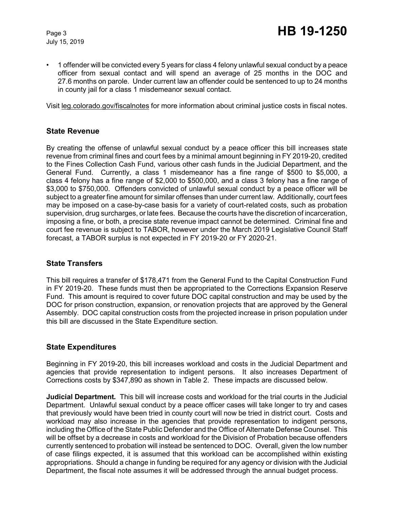• 1 offender will be convicted every 5 years for class 4 felony unlawful sexual conduct by a peace officer from sexual contact and will spend an average of 25 months in the DOC and 27.6 months on parole. Under current law an offender could be sentenced to up to 24 months in county jail for a class 1 misdemeanor sexual contact.

Visit leg.colorado.gov/fiscalnotes for more information about criminal justice costs in fiscal notes.

### **State Revenue**

By creating the offense of unlawful sexual conduct by a peace officer this bill increases state revenue from criminal fines and court fees by a minimal amount beginning in FY 2019-20, credited to the Fines Collection Cash Fund, various other cash funds in the Judicial Department, and the General Fund. Currently, a class 1 misdemeanor has a fine range of \$500 to \$5,000, a class 4 felony has a fine range of \$2,000 to \$500,000, and a class 3 felony has a fine range of \$3,000 to \$750,000. Offenders convicted of unlawful sexual conduct by a peace officer will be subject to a greater fine amount for similar offenses than under current law. Additionally, court fees may be imposed on a case-by-case basis for a variety of court-related costs, such as probation supervision, drug surcharges, or late fees. Because the courts have the discretion of incarceration, imposing a fine, or both, a precise state revenue impact cannot be determined. Criminal fine and court fee revenue is subject to TABOR, however under the March 2019 Legislative Council Staff forecast, a TABOR surplus is not expected in FY 2019-20 or FY 2020-21.

### **State Transfers**

This bill requires a transfer of \$178,471 from the General Fund to the Capital Construction Fund in FY 2019-20. These funds must then be appropriated to the Corrections Expansion Reserve Fund. This amount is required to cover future DOC capital construction and may be used by the DOC for prison construction, expansion, or renovation projects that are approved by the General Assembly. DOC capital construction costs from the projected increase in prison population under this bill are discussed in the State Expenditure section.

### **State Expenditures**

Beginning in FY 2019-20, this bill increases workload and costs in the Judicial Department and agencies that provide representation to indigent persons. It also increases Department of Corrections costs by \$347,890 as shown in Table 2. These impacts are discussed below.

**Judicial Department***.* This bill will increase costs and workload for the trial courts in the Judicial Department. Unlawful sexual conduct by a peace officer cases will take longer to try and cases that previously would have been tried in county court will now be tried in district court. Costs and workload may also increase in the agencies that provide representation to indigent persons, including the Office of the State Public Defender and the Office of Alternate Defense Counsel. This will be offset by a decrease in costs and workload for the Division of Probation because offenders currently sentenced to probation will instead be sentenced to DOC. Overall, given the low number of case filings expected, it is assumed that this workload can be accomplished within existing appropriations. Should a change in funding be required for any agency or division with the Judicial Department, the fiscal note assumes it will be addressed through the annual budget process.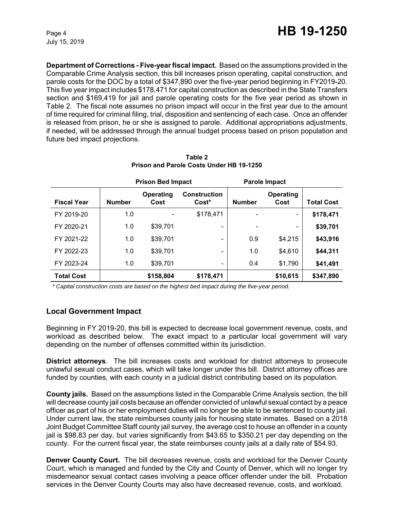**Department of Corrections - Five-year fiscal impact.** Based on the assumptions provided in the Comparable Crime Analysis section, this bill increases prison operating, capital construction, and parole costs for the DOC by a total of \$347,890 over the five-year period beginning in FY2019-20. This five year impact includes \$178,471 for capital construction as described in the State Transfers section and \$169,419 for jail and parole operating costs for the five year period as shown in Table 2. The fiscal note assumes no prison impact will occur in the first year due to the amount of time required for criminal filing, trial, disposition and sentencing of each case. Once an offender is released from prison, he or she is assigned to parole. Additional appropriations adjustments, if needed, will be addressed through the annual budget process based on prison population and future bed impact projections.

|                    | <b>Prison Bed Impact</b> |                              | <b>Parole Impact</b>         |               |                              |                   |
|--------------------|--------------------------|------------------------------|------------------------------|---------------|------------------------------|-------------------|
| <b>Fiscal Year</b> | <b>Number</b>            | Operating<br>Cost            | <b>Construction</b><br>Cost* | <b>Number</b> | <b>Operating</b><br>Cost     | <b>Total Cost</b> |
| FY 2019-20         | 1.0                      | $\qquad \qquad \blacksquare$ | \$178,471                    |               | $\qquad \qquad \blacksquare$ | \$178,471         |
| FY 2020-21         | 1.0                      | \$39,701                     | $\overline{\phantom{0}}$     |               | -                            | \$39,701          |
| FY 2021-22         | 1.0                      | \$39,701                     |                              | 0.9           | \$4,215                      | \$43,916          |
| FY 2022-23         | 1.0                      | \$39,701                     |                              | 1.0           | \$4,610                      | \$44,311          |
| FY 2023-24         | 1.0                      | \$39,701                     | $\qquad \qquad \blacksquare$ | 0.4           | \$1,790                      | \$41,491          |
| <b>Total Cost</b>  |                          | \$158,804                    | \$178,471                    |               | \$10,615                     | \$347,890         |

**Table 2 Prison and Parole Costs Under HB 19-1250**

 *\* Capital construction costs are based on the highest bed impact during the five-year period.* 

### **Local Government Impact**

Beginning in FY 2019-20, this bill is expected to decrease local government revenue, costs, and workload as described below. The exact impact to a particular local government will vary depending on the number of offenses committed within its jurisdiction.

**District attorneys**. The bill increases costs and workload for district attorneys to prosecute unlawful sexual conduct cases, which will take longer under this bill. District attorney offices are funded by counties, with each county in a judicial district contributing based on its population.

**County jails.** Based on the assumptions listed in the Comparable Crime Analysis section, the bill will decrease county jail costs because an offender convicted of unlawful sexual contact by a peace officer as part of his or her employment duties will no longer be able to be sentenced to county jail. Under current law, the state reimburses county jails for housing state inmates. Based on a 2018 Joint Budget Committee Staff county jail survey, the average cost to house an offender in a county jail is \$98.83 per day, but varies significantly from \$43.65 to \$350.21 per day depending on the county. For the current fiscal year, the state reimburses county jails at a daily rate of \$54.93.

**Denver County Court.** The bill decreases revenue, costs and workload for the Denver County Court, which is managed and funded by the City and County of Denver, which will no longer try misdemeanor sexual contact cases involving a peace officer offender under the bill. Probation services in the Denver County Courts may also have decreased revenue, costs, and workload.